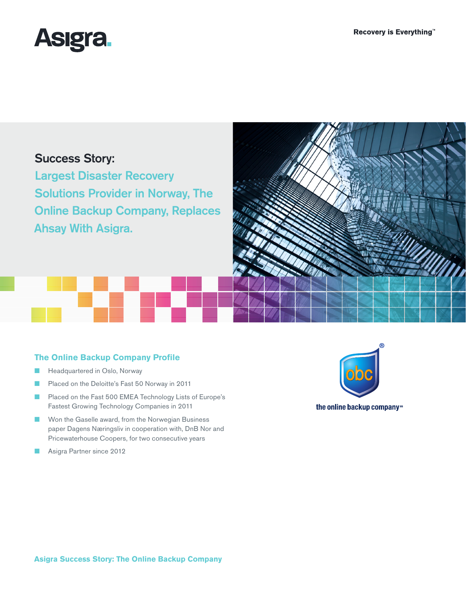

# Success Story:

Largest Disaster Recovery Solutions Provider in Norway, The Online Backup Company, Replaces Ahsay With Asigra.



## **The Online Backup Company Profile**

- Headquartered in Oslo, Norway
- Placed on the Deloitte's Fast 50 Norway in 2011
- Placed on the Fast 500 EMEA Technology Lists of Europe's Fastest Growing Technology Companies in 2011
- Won the Gaselle award, from the Norwegian Business paper Dagens Næringsliv in cooperation with, DnB Nor and Pricewaterhouse Coopers, for two consecutive years
- Asigra Partner since 2012



the online backup company<sup>35</sup>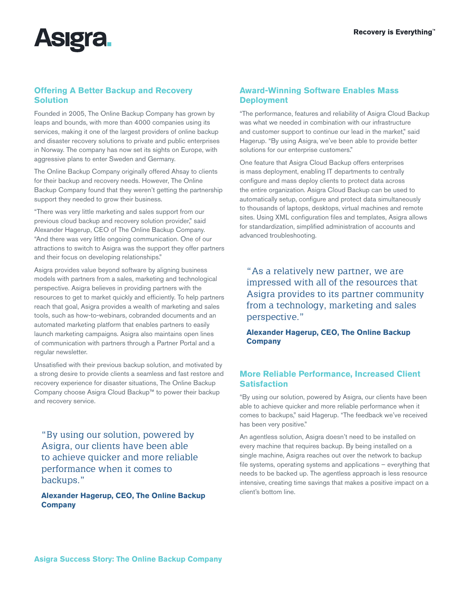

# **Offering A Better Backup and Recovery Solution**

Founded in 2005, The Online Backup Company has grown by leaps and bounds, with more than 4000 companies using its services, making it one of the largest providers of online backup and disaster recovery solutions to private and public enterprises in Norway. The company has now set its sights on Europe, with aggressive plans to enter Sweden and Germany.

The Online Backup Company originally offered Ahsay to clients for their backup and recovery needs. However, The Online Backup Company found that they weren't getting the partnership support they needed to grow their business.

"There was very little marketing and sales support from our previous cloud backup and recovery solution provider," said Alexander Hagerup, CEO of The Online Backup Company. "And there was very little ongoing communication. One of our attractions to switch to Asigra was the support they offer partners and their focus on developing relationships."

Asigra provides value beyond software by aligning business models with partners from a sales, marketing and technological perspective. Asigra believes in providing partners with the resources to get to market quickly and efficiently. To help partners reach that goal, Asigra provides a wealth of marketing and sales tools, such as how-to-webinars, cobranded documents and an automated marketing platform that enables partners to easily launch marketing campaigns. Asigra also maintains open lines of communication with partners through a Partner Portal and a regular newsletter.

Unsatisfied with their previous backup solution, and motivated by a strong desire to provide clients a seamless and fast restore and recovery experience for disaster situations, The Online Backup Company choose Asigra Cloud Backup™ to power their backup and recovery service.

"By using our solution, powered by Asigra, our clients have been able to achieve quicker and more reliable performance when it comes to backups."

**Alexander Hagerup, CEO, The Online Backup Company**

### **Award-Winning Software Enables Mass Deployment**

"The performance, features and reliability of Asigra Cloud Backup was what we needed in combination with our infrastructure and customer support to continue our lead in the market," said Hagerup. "By using Asigra, we've been able to provide better solutions for our enterprise customers."

One feature that Asigra Cloud Backup offers enterprises is mass deployment, enabling IT departments to centrally configure and mass deploy clients to protect data across the entire organization. Asigra Cloud Backup can be used to automatically setup, configure and protect data simultaneously to thousands of laptops, desktops, virtual machines and remote sites. Using XML configuration files and templates, Asigra allows for standardization, simplified administration of accounts and advanced troubleshooting.

"As a relatively new partner, we are impressed with all of the resources that Asigra provides to its partner community from a technology, marketing and sales perspective."

**Alexander Hagerup, CEO, The Online Backup Company**

#### **More Reliable Performance, Increased Client Satisfaction**

"By using our solution, powered by Asigra, our clients have been able to achieve quicker and more reliable performance when it comes to backups," said Hagerup. "The feedback we've received has been very positive."

An agentless solution, Asigra doesn't need to be installed on every machine that requires backup. By being installed on a single machine, Asigra reaches out over the network to backup file systems, operating systems and applications – everything that needs to be backed up. The agentless approach is less resource intensive, creating time savings that makes a positive impact on a client's bottom line.